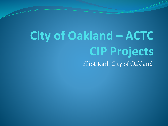# **City of Oakland – ACTC CIP Projects** Elliot Karl, City of Oakland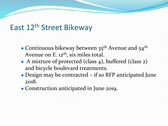### East 12<sup>th</sup> Street Bikeway

- Continuous bikeway between  $35<sup>th</sup>$  Avenue and  $54<sup>th</sup>$ Avenue on E. 12<sup>th</sup>, six miles total.
- A mixture of protected (class 4), buffered (class 2) and bicycle boulevard treatments.
- Design may be contracted if so RFP anticipated June 2018.
- Construction anticipated in June 2019.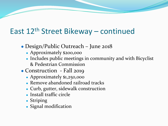# East 12th Street Bikeway – continued

- Design/Public Outreach June 2018
	- Approximately \$200,000
	- Includes public meetings in community and with Bicyclist & Pedestrian Commission
- Construction Fall 2019
	- Approximately \$1,250,000
	- Remove abandoned railroad tracks
	- Curb, gutter, sidewalk construction
	- Install traffic circle
	- Striping
	- Signal modification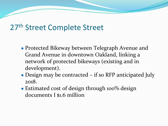# 27<sup>th</sup> Street Complete Street

- Protected Bikeway between Telegraph Avenue and Grand Avenue in downtown Oakland, linking a network of protected bikeways (existing and in development).
- Design may be contracted if so RFP anticipated July 2018.
- Estimated cost of design through 100% design documents I \$1.6 million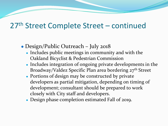## 27th Street Complete Street – continued

- Design/Public Outreach July 2018
	- Includes public meetings in community and with the Oakland Bicyclist & Pedestrian Commission
	- Includes integration of ongoing private developments in the Broadway/Valdez Specific Plan area bordering 27<sup>th</sup> Street
	- Portions of design may be constructed by private developers as partial mitigation, depending on timing of development; consultant should be prepared to work closely with City staff and developers.
	- Design phase completion estimated Fall of 2019.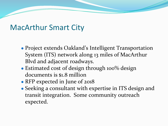#### MacArthur Smart City

- Project extends Oakland's Intelligent Transportation System (ITS) network along 13 miles of MacArthur Blvd and adjacent roadways.
- Estimated cost of design through 100% design documents is \$1.8 million
- RFP expected in June of 2018
- Seeking a consultant with expertise in ITS design and transit integration. Some community outreach expected.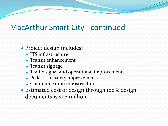#### MacArthur Smart City - continued

- Project design includes:
	- ITS infrastructure
	- Transit enhancement
	- Transit signage
	- Traffic signal and operational improvements
	- Pedestrian safety improvements
	- Communication infrastructure
- Estimated cost of design through 100% design documents is \$1.8 million